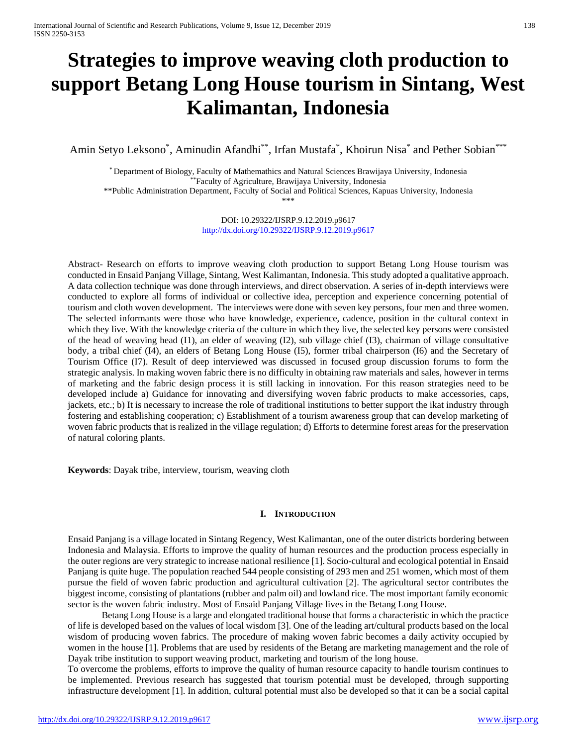# **Strategies to improve weaving cloth production to support Betang Long House tourism in Sintang, West Kalimantan, Indonesia**

Amin Setyo Leksono\*, Aminudin Afandhi\*\*, Irfan Mustafa\*, Khoirun Nisa\* and Pether Sobian\*\*\*

\* Department of Biology, Faculty of Mathemathics and Natural Sciences Brawijaya University, Indonesia \*\*Faculty of Agriculture*,* Brawijaya University, Indonesia \*\*Public Administration Department, Faculty of Social and Political Sciences, Kapuas University, Indonesia \*\*\*

> DOI: 10.29322/IJSRP.9.12.2019.p9617 <http://dx.doi.org/10.29322/IJSRP.9.12.2019.p9617>

Abstract- Research on efforts to improve weaving cloth production to support Betang Long House tourism was conducted in Ensaid Panjang Village, Sintang, West Kalimantan, Indonesia. This study adopted a qualitative approach. A data collection technique was done through interviews, and direct observation. A series of in-depth interviews were conducted to explore all forms of individual or collective idea, perception and experience concerning potential of tourism and cloth woven development. The interviews were done with seven key persons, four men and three women. The selected informants were those who have knowledge, experience, cadence, position in the cultural context in which they live. With the knowledge criteria of the culture in which they live, the selected key persons were consisted of the head of weaving head (I1), an elder of weaving (I2), sub village chief (I3), chairman of village consultative body, a tribal chief (I4), an elders of Betang Long House (I5), former tribal chairperson (I6) and the Secretary of Tourism Office (I7). Result of deep interviewed was discussed in focused group discussion forums to form the strategic analysis. In making woven fabric there is no difficulty in obtaining raw materials and sales, however in terms of marketing and the fabric design process it is still lacking in innovation. For this reason strategies need to be developed include a) Guidance for innovating and diversifying woven fabric products to make accessories, caps, jackets, etc.; b) It is necessary to increase the role of traditional institutions to better support the ikat industry through fostering and establishing cooperation; c) Establishment of a tourism awareness group that can develop marketing of woven fabric products that is realized in the village regulation; d) Efforts to determine forest areas for the preservation of natural coloring plants.

**Keywords**: Dayak tribe, interview, tourism, weaving cloth

### **I. INTRODUCTION**

Ensaid Panjang is a village located in Sintang Regency, West Kalimantan, one of the outer districts bordering between Indonesia and Malaysia. Efforts to improve the quality of human resources and the production process especially in the outer regions are very strategic to increase national resilience [1]. Socio-cultural and ecological potential in Ensaid Panjang is quite huge. The population reached 544 people consisting of 293 men and 251 women, which most of them pursue the field of woven fabric production and agricultural cultivation [2]. The agricultural sector contributes the biggest income, consisting of plantations (rubber and palm oil) and lowland rice. The most important family economic sector is the woven fabric industry. Most of Ensaid Panjang Village lives in the Betang Long House.

Betang Long House is a large and elongated traditional house that forms a characteristic in which the practice of life is developed based on the values of local wisdom [3]. One of the leading art/cultural products based on the local wisdom of producing woven fabrics. The procedure of making woven fabric becomes a daily activity occupied by women in the house [1]. Problems that are used by residents of the Betang are marketing management and the role of Dayak tribe institution to support weaving product, marketing and tourism of the long house.

To overcome the problems, efforts to improve the quality of human resource capacity to handle tourism continues to be implemented. Previous research has suggested that tourism potential must be developed, through supporting infrastructure development [1]. In addition, cultural potential must also be developed so that it can be a social capital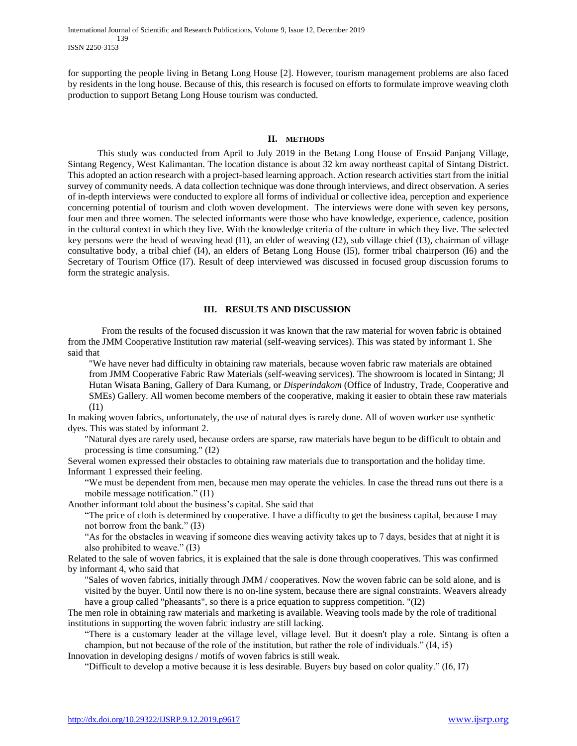International Journal of Scientific and Research Publications, Volume 9, Issue 12, December 2019 139 ISSN 2250-3153

for supporting the people living in Betang Long House [2]. However, tourism management problems are also faced by residents in the long house. Because of this, this research is focused on efforts to formulate improve weaving cloth production to support Betang Long House tourism was conducted.

#### **II. METHODS**

This study was conducted from April to July 2019 in the Betang Long House of Ensaid Panjang Village, Sintang Regency, West Kalimantan. The location distance is about 32 km away northeast capital of Sintang District. This adopted an action research with a project-based learning approach. Action research activities start from the initial survey of community needs. A data collection technique was done through interviews, and direct observation. A series of in-depth interviews were conducted to explore all forms of individual or collective idea, perception and experience concerning potential of tourism and cloth woven development. The interviews were done with seven key persons, four men and three women. The selected informants were those who have knowledge, experience, cadence, position in the cultural context in which they live. With the knowledge criteria of the culture in which they live. The selected key persons were the head of weaving head (I1), an elder of weaving (I2), sub village chief (I3), chairman of village consultative body, a tribal chief (I4), an elders of Betang Long House (I5), former tribal chairperson (I6) and the Secretary of Tourism Office (I7). Result of deep interviewed was discussed in focused group discussion forums to form the strategic analysis.

#### **III. RESULTS AND DISCUSSION**

From the results of the focused discussion it was known that the raw material for woven fabric is obtained from the JMM Cooperative Institution raw material (self-weaving services). This was stated by informant 1. She said that

"We have never had difficulty in obtaining raw materials, because woven fabric raw materials are obtained from JMM Cooperative Fabric Raw Materials (self-weaving services). The showroom is located in Sintang; Jl Hutan Wisata Baning, Gallery of Dara Kumang, or *Disperindakom* (Office of Industry*,* Trade*,* Cooperative and SMEs) Gallery. All women become members of the cooperative, making it easier to obtain these raw materials (I1)

In making woven fabrics, unfortunately, the use of natural dyes is rarely done. All of woven worker use synthetic dyes. This was stated by informant 2.

"Natural dyes are rarely used, because orders are sparse, raw materials have begun to be difficult to obtain and processing is time consuming." (I2)

Several women expressed their obstacles to obtaining raw materials due to transportation and the holiday time. Informant 1 expressed their feeling.

"We must be dependent from men, because men may operate the vehicles. In case the thread runs out there is a mobile message notification." (I1)

Another informant told about the business's capital. She said that

"The price of cloth is determined by cooperative. I have a difficulty to get the business capital, because I may not borrow from the bank." (I3)

"As for the obstacles in weaving if someone dies weaving activity takes up to 7 days, besides that at night it is also prohibited to weave." (I3)

Related to the sale of woven fabrics, it is explained that the sale is done through cooperatives. This was confirmed by informant 4, who said that

"Sales of woven fabrics, initially through JMM / cooperatives. Now the woven fabric can be sold alone, and is visited by the buyer. Until now there is no on-line system, because there are signal constraints. Weavers already have a group called "pheasants", so there is a price equation to suppress competition. "(I2)

The men role in obtaining raw materials and marketing is available. Weaving tools made by the role of traditional institutions in supporting the woven fabric industry are still lacking.

"There is a customary leader at the village level, village level. But it doesn't play a role. Sintang is often a champion, but not because of the role of the institution, but rather the role of individuals." (I4, i5)

Innovation in developing designs / motifs of woven fabrics is still weak.

"Difficult to develop a motive because it is less desirable. Buyers buy based on color quality." (I6, I7)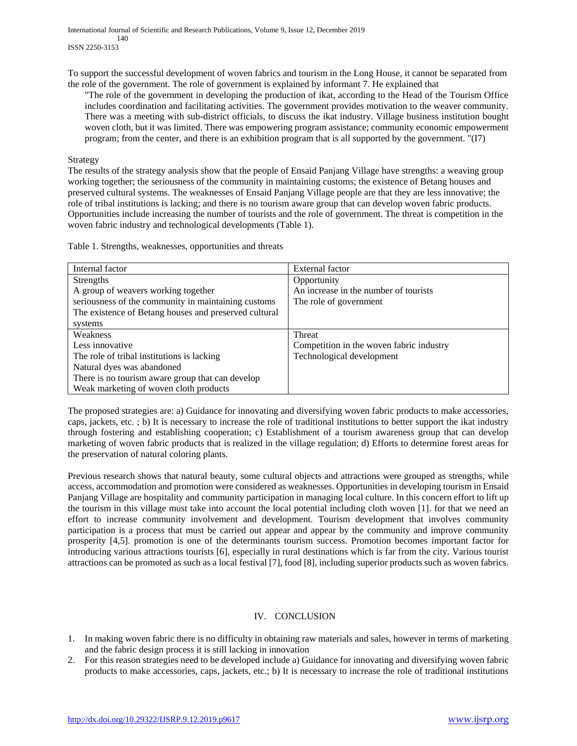International Journal of Scientific and Research Publications, Volume 9, Issue 12, December 2019 140 ISSN 2250-3153

To support the successful development of woven fabrics and tourism in the Long House, it cannot be separated from the role of the government. The role of government is explained by informant 7. He explained that

"The role of the government in developing the production of ikat, according to the Head of the Tourism Office includes coordination and facilitating activities. The government provides motivation to the weaver community. There was a meeting with sub-district officials, to discuss the ikat industry. Village business institution bought woven cloth, but it was limited. There was empowering program assistance; community economic empowerment program; from the center, and there is an exhibition program that is all supported by the government. "(I7)

#### Strategy

The results of the strategy analysis show that the people of Ensaid Panjang Village have strengths: a weaving group working together; the seriousness of the community in maintaining customs; the existence of Betang houses and preserved cultural systems. The weaknesses of Ensaid Panjang Village people are that they are less innovative; the role of tribal institutions is lacking; and there is no tourism aware group that can develop woven fabric products. Opportunities include increasing the number of tourists and the role of government. The threat is competition in the woven fabric industry and technological developments (Table 1).

Table 1. Strengths, weaknesses, opportunities and threats

| Internal factor                                       | External factor                          |
|-------------------------------------------------------|------------------------------------------|
| <b>Strengths</b>                                      | Opportunity                              |
| A group of weavers working together                   | An increase in the number of tourists    |
| seriousness of the community in maintaining customs   | The role of government                   |
| The existence of Betang houses and preserved cultural |                                          |
| systems                                               |                                          |
| Weakness                                              | Threat                                   |
| Less innovative                                       | Competition in the woven fabric industry |
| The role of tribal institutions is lacking            | Technological development                |
| Natural dyes was abandoned                            |                                          |
| There is no tourism aware group that can develop      |                                          |
| Weak marketing of woven cloth products                |                                          |

The proposed strategies are: a) Guidance for innovating and diversifying woven fabric products to make accessories, caps, jackets, etc. ; b) It is necessary to increase the role of traditional institutions to better support the ikat industry through fostering and establishing cooperation; c) Establishment of a tourism awareness group that can develop marketing of woven fabric products that is realized in the village regulation; d) Efforts to determine forest areas for the preservation of natural coloring plants.

Previous research shows that natural beauty, some cultural objects and attractions were grouped as strengths, while access, accommodation and promotion were considered as weaknesses. Opportunities in developing tourism in Ensaid Panjang Village are hospitality and community participation in managing local culture. In this concern effort to lift up the tourism in this village must take into account the local potential including cloth woven [1]. for that we need an effort to increase community involvement and development. Tourism development that involves community participation is a process that must be carried out appear and appear by the community and improve community prosperity [4,5]. promotion is one of the determinants tourism success. Promotion becomes important factor for introducing various attractions tourists [6], especially in rural destinations which is far from the city. Various tourist attractions can be promoted as such as a local festival [7], food [8], including superior products such as woven fabrics.

# IV. CONCLUSION

- 1. In making woven fabric there is no difficulty in obtaining raw materials and sales, however in terms of marketing and the fabric design process it is still lacking in innovation
- 2. For this reason strategies need to be developed include a) Guidance for innovating and diversifying woven fabric products to make accessories, caps, jackets, etc.; b) It is necessary to increase the role of traditional institutions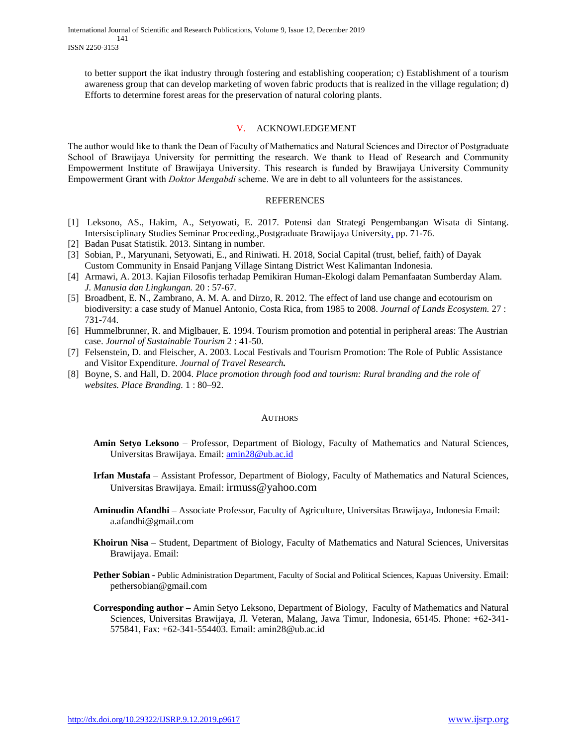to better support the ikat industry through fostering and establishing cooperation; c) Establishment of a tourism awareness group that can develop marketing of woven fabric products that is realized in the village regulation; d) Efforts to determine forest areas for the preservation of natural coloring plants.

## V. ACKNOWLEDGEMENT

The author would like to thank the Dean of Faculty of Mathematics and Natural Sciences and Director of Postgraduate School of Brawijaya University for permitting the research. We thank to Head of Research and Community Empowerment Institute of Brawijaya University. This research is funded by Brawijaya University Community Empowerment Grant with *Doktor Mengabdi* scheme. We are in debt to all volunteers for the assistances.

### REFERENCES

- [1] Leksono, AS., Hakim, A., Setyowati, E. 2017. Potensi dan Strategi Pengembangan Wisata di Sintang. Intersisciplinary Studies Seminar Proceeding.,Postgraduate Brawijaya University, pp. 71-76.
- [2] Badan Pusat Statistik. 2013. Sintang in number.
- [3] Sobian, P., Maryunani, Setyowati, E., and Riniwati. H. 2018, Social Capital (trust, belief, faith) of Dayak Custom Community in Ensaid Panjang Village Sintang District West Kalimantan Indonesia.
- [4] Armawi, A. 2013. Kajian Filosofis terhadap Pemikiran Human-Ekologi dalam Pemanfaatan Sumberday Alam. *J. Manusia dan Lingkungan.* 20 : 57-67.
- [5] Broadbent, E. N., Zambrano, A. M. A. and Dirzo, R. 2012. The effect of land use change and ecotourism on biodiversity: a case study of Manuel Antonio, Costa Rica, from 1985 to 2008. *Journal of Lands Ecosystem.* 27 : 731-744.
- [6] Hummelbrunner, R. and Miglbauer, E. 1994. Tourism promotion and potential in peripheral areas: The Austrian case. *Journal of Sustainable Tourism* 2 : 41-50.
- [7] Felsenstein, D. and Fleischer, A. 2003. Local Festivals and Tourism Promotion: The Role of Public Assistance and Visitor Expenditure. *Journal of Travel Research.*
- [8] Boyne, S. and Hall, D. 2004. *Place promotion through food and tourism: Rural branding and the role of websites. Place Branding.* 1 : 80–92.

### AUTHORS

- **Amin Setyo Leksono** Professor, Department of Biology, Faculty of Mathematics and Natural Sciences, Universitas Brawijaya. Email: [amin28@ub.ac.id](mailto:amin28@ub.ac.id)
- **Irfan Mustafa** Assistant Professor, Department of Biology, Faculty of Mathematics and Natural Sciences, Universitas Brawijaya. Email: irmuss@yahoo.com
- **Aminudin Afandhi –** Associate Professor, Faculty of Agriculture, Universitas Brawijaya, Indonesia Email: a.afandhi@gmail.com
- **Khoirun Nisa** Student, Department of Biology, Faculty of Mathematics and Natural Sciences, Universitas Brawijaya. Email:
- **Pether Sobian** Public Administration Department, Faculty of Social and Political Sciences, Kapuas University. Email: pethersobian@gmail.com
- **Corresponding author –** Amin Setyo Leksono, Department of Biology, Faculty of Mathematics and Natural Sciences, Universitas Brawijaya, Jl. Veteran, Malang, Jawa Timur, Indonesia, 65145. Phone: +62-341- 575841, Fax: +62-341-554403. Email: amin28@ub.ac.id